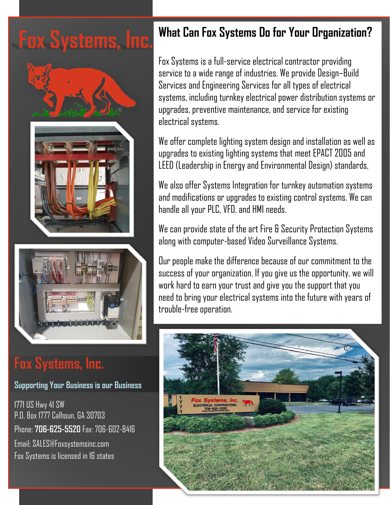**Fox Systems, Inc.**



## **Fox Systems, Inc.**

#### **Supporting Your Business is our Business**

1771 US Hwy 41 SW P.O. Box 1777 Calhoun, GA 30703 Phone: **706-625-5520** Fax: 706-602-8416 Email: SALES@Foxsystemsinc.com Fox Systems is licensed in 16 states

### **What Can Fox Systems Do for Your Organization?**

Fox Systems is a full-service electrical contractor providing service to a wide range of industries. We provide Design–Build Services and Engineering Services for all types of electrical systems, including turnkey electrical power distribution systems or upgrades, preventive maintenance, and service for existing electrical systems.

We offer complete lighting system design and installation as well as upgrades to existing lighting systems that meet EPACT 2005 and LEED (Leadership in Energy and Environmental Design) standards,

We also offer Systems Integration for turnkey automation systems and modifications or upgrades to existing control systems. We can handle all your PLC, VFD, and HMI needs.

We can provide state of the art Fire & Security Protection Systems along with computer-based Video Surveillance Systems.

Our people make the difference because of our commitment to the success of your organization. If you give us the opportunity, we will work hard to earn your trust and give you the support that you need to bring your electrical systems into the future with years of trouble-free operation.